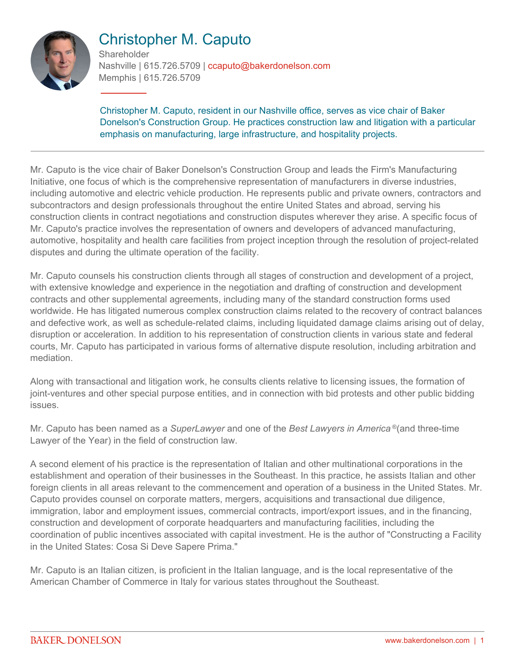

# Christopher M. Caputo

**Shareholder** Nashville | 615.726.5709 | ccaputo@bakerdonelson.com Memphis | 615.726.5709

Christopher M. Caputo, resident in our Nashville office, serves as vice chair of Baker Donelson's Construction Group. He practices construction law and litigation with a particular emphasis on manufacturing, large infrastructure, and hospitality projects.

Mr. Caputo is the vice chair of Baker Donelson's Construction Group and leads the Firm's Manufacturing Initiative, one focus of which is the comprehensive representation of manufacturers in diverse industries, including automotive and electric vehicle production. He represents public and private owners, contractors and subcontractors and design professionals throughout the entire United States and abroad, serving his construction clients in contract negotiations and construction disputes wherever they arise. A specific focus of Mr. Caputo's practice involves the representation of owners and developers of advanced manufacturing, automotive, hospitality and health care facilities from project inception through the resolution of project-related disputes and during the ultimate operation of the facility.

Mr. Caputo counsels his construction clients through all stages of construction and development of a project, with extensive knowledge and experience in the negotiation and drafting of construction and development contracts and other supplemental agreements, including many of the standard construction forms used worldwide. He has litigated numerous complex construction claims related to the recovery of contract balances and defective work, as well as schedule-related claims, including liquidated damage claims arising out of delay, disruption or acceleration. In addition to his representation of construction clients in various state and federal courts, Mr. Caputo has participated in various forms of alternative dispute resolution, including arbitration and mediation.

Along with transactional and litigation work, he consults clients relative to licensing issues, the formation of joint-ventures and other special purpose entities, and in connection with bid protests and other public bidding issues.

Mr. Caputo has been named as a *SuperLawyer* and one of the *Best Lawyers in America* ®(and three-time Lawyer of the Year) in the field of construction law.

A second element of his practice is the representation of Italian and other multinational corporations in the establishment and operation of their businesses in the Southeast. In this practice, he assists Italian and other foreign clients in all areas relevant to the commencement and operation of a business in the United States. Mr. Caputo provides counsel on corporate matters, mergers, acquisitions and transactional due diligence, immigration, labor and employment issues, commercial contracts, import/export issues, and in the financing, construction and development of corporate headquarters and manufacturing facilities, including the coordination of public incentives associated with capital investment. He is the author of "Constructing a Facility in the United States: Cosa Si Deve Sapere Prima."

Mr. Caputo is an Italian citizen, is proficient in the Italian language, and is the local representative of the American Chamber of Commerce in Italy for various states throughout the Southeast.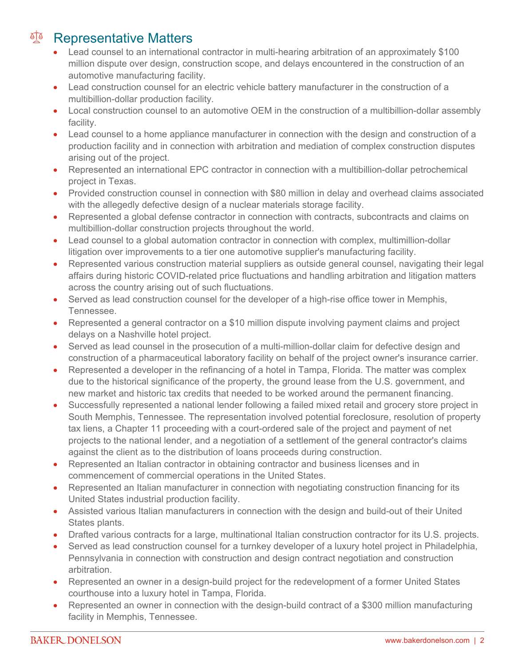## <sup>T</sup> Representative Matters

- Lead counsel to an international contractor in multi-hearing arbitration of an approximately \$100 million dispute over design, construction scope, and delays encountered in the construction of an automotive manufacturing facility.
- Lead construction counsel for an electric vehicle battery manufacturer in the construction of a multibillion-dollar production facility.
- Local construction counsel to an automotive OEM in the construction of a multibillion-dollar assembly facility.
- Lead counsel to a home appliance manufacturer in connection with the design and construction of a production facility and in connection with arbitration and mediation of complex construction disputes arising out of the project.
- Represented an international EPC contractor in connection with a multibillion-dollar petrochemical project in Texas.
- Provided construction counsel in connection with \$80 million in delay and overhead claims associated with the allegedly defective design of a nuclear materials storage facility.
- Represented a global defense contractor in connection with contracts, subcontracts and claims on multibillion-dollar construction projects throughout the world.
- Lead counsel to a global automation contractor in connection with complex, multimillion-dollar litigation over improvements to a tier one automotive supplier's manufacturing facility.
- Represented various construction material suppliers as outside general counsel, navigating their legal affairs during historic COVID-related price fluctuations and handling arbitration and litigation matters across the country arising out of such fluctuations.
- Served as lead construction counsel for the developer of a high-rise office tower in Memphis, Tennessee.
- Represented a general contractor on a \$10 million dispute involving payment claims and project delays on a Nashville hotel project.
- Served as lead counsel in the prosecution of a multi-million-dollar claim for defective design and construction of a pharmaceutical laboratory facility on behalf of the project owner's insurance carrier.
- Represented a developer in the refinancing of a hotel in Tampa, Florida. The matter was complex due to the historical significance of the property, the ground lease from the U.S. government, and new market and historic tax credits that needed to be worked around the permanent financing.
- Successfully represented a national lender following a failed mixed retail and grocery store project in South Memphis, Tennessee. The representation involved potential foreclosure, resolution of property tax liens, a Chapter 11 proceeding with a court-ordered sale of the project and payment of net projects to the national lender, and a negotiation of a settlement of the general contractor's claims against the client as to the distribution of loans proceeds during construction.
- Represented an Italian contractor in obtaining contractor and business licenses and in commencement of commercial operations in the United States.
- Represented an Italian manufacturer in connection with negotiating construction financing for its United States industrial production facility.
- Assisted various Italian manufacturers in connection with the design and build-out of their United States plants.
- Drafted various contracts for a large, multinational Italian construction contractor for its U.S. projects.
- Served as lead construction counsel for a turnkey developer of a luxury hotel project in Philadelphia, Pennsylvania in connection with construction and design contract negotiation and construction arbitration.
- Represented an owner in a design-build project for the redevelopment of a former United States courthouse into a luxury hotel in Tampa, Florida.
- Represented an owner in connection with the design-build contract of a \$300 million manufacturing facility in Memphis, Tennessee.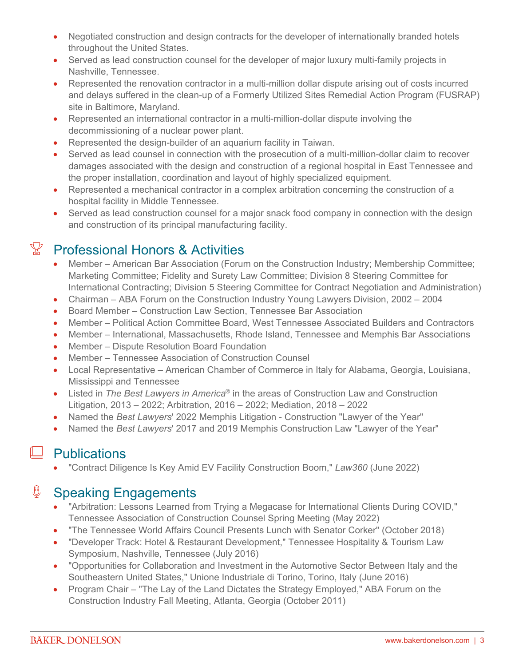- Negotiated construction and design contracts for the developer of internationally branded hotels throughout the United States.
- Served as lead construction counsel for the developer of major luxury multi-family projects in Nashville, Tennessee.
- Represented the renovation contractor in a multi-million dollar dispute arising out of costs incurred and delays suffered in the clean-up of a Formerly Utilized Sites Remedial Action Program (FUSRAP) site in Baltimore, Maryland.
- Represented an international contractor in a multi-million-dollar dispute involving the decommissioning of a nuclear power plant.
- Represented the design-builder of an aquarium facility in Taiwan.
- Served as lead counsel in connection with the prosecution of a multi-million-dollar claim to recover damages associated with the design and construction of a regional hospital in East Tennessee and the proper installation, coordination and layout of highly specialized equipment.
- Represented a mechanical contractor in a complex arbitration concerning the construction of a hospital facility in Middle Tennessee.
- Served as lead construction counsel for a major snack food company in connection with the design and construction of its principal manufacturing facility.

## $\mathbb{F}$  Professional Honors & Activities

- Member American Bar Association (Forum on the Construction Industry; Membership Committee; Marketing Committee; Fidelity and Surety Law Committee; Division 8 Steering Committee for International Contracting; Division 5 Steering Committee for Contract Negotiation and Administration)
- Chairman ABA Forum on the Construction Industry Young Lawyers Division, 2002 2004
- Board Member Construction Law Section, Tennessee Bar Association
- Member Political Action Committee Board, West Tennessee Associated Builders and Contractors
- Member International, Massachusetts, Rhode Island, Tennessee and Memphis Bar Associations
- Member Dispute Resolution Board Foundation
- Member Tennessee Association of Construction Counsel
- Local Representative American Chamber of Commerce in Italy for Alabama, Georgia, Louisiana, Mississippi and Tennessee
- Listed in *The Best Lawyers in America*® in the areas of Construction Law and Construction Litigation, 2013 – 2022; Arbitration, 2016 – 2022; Mediation, 2018 – 2022
- Named the *Best Lawyers*' 2022 Memphis Litigation Construction "Lawyer of the Year"
- Named the *Best Lawyers*' 2017 and 2019 Memphis Construction Law "Lawyer of the Year"

#### $\Box$  Publications

"Contract Diligence Is Key Amid EV Facility Construction Boom," *Law360* (June 2022)

### **<u><b>Speaking Engagements**</u>

- "Arbitration: Lessons Learned from Trying a Megacase for International Clients During COVID," Tennessee Association of Construction Counsel Spring Meeting (May 2022)
- "The Tennessee World Affairs Council Presents Lunch with Senator Corker" (October 2018)
- "Developer Track: Hotel & Restaurant Development," Tennessee Hospitality & Tourism Law Symposium, Nashville, Tennessee (July 2016)
- "Opportunities for Collaboration and Investment in the Automotive Sector Between Italy and the Southeastern United States," Unione Industriale di Torino, Torino, Italy (June 2016)
- Program Chair "The Lay of the Land Dictates the Strategy Employed," ABA Forum on the Construction Industry Fall Meeting, Atlanta, Georgia (October 2011)